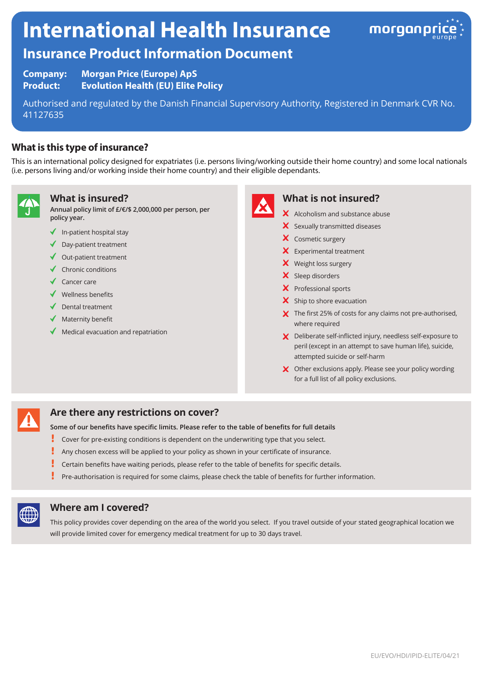# **International Health Insurance**



# **Insurance Product Information Document**

**Company: Morgan Price (Europe) ApS Product: Evolution Health (EU) Elite Policy**

Authorised and regulated by the Danish Financial Supervisory Authority, Registered in Denmark CVR No. 41127635

# **What is this type of insurance?**

This is an international policy designed for expatriates (i.e. persons living/working outside their home country) and some local nationals (i.e. persons living and/or working inside their home country) and their eligible dependants.



#### **What is insured?**

**Annual policy limit of £/€/\$ 2,000,000 per person, per policy year.**

- $\checkmark$  In-patient hospital stay
- ◆ Day-patient treatment
- $\triangleleft$  Out-patient treatment
- $\checkmark$  Chronic conditions
- ◆ Cancer care
- $\checkmark$  Wellness benefits
- Dental treatment
- $\blacklozenge$  Maternity benefit
- Medical evacuation and repatriation



#### **What is not insured?**

- X Alcoholism and substance abuse
- X Sexually transmitted diseases
- X Cosmetic surgery
- $\times$  Experimental treatment
- X Weight loss surgery
- X Sleep disorders
- X Professional sports
- $\boldsymbol{\times}$  Ship to shore evacuation
- $\boldsymbol{\times}$  The first 25% of costs for any claims not pre-authorised, where required
- X Deliberate self-inflicted injury, needless self-exposure to peril (except in an attempt to save human life), suicide, attempted suicide or self-harm
- X Other exclusions apply. Please see your policy wording for a full list of all policy exclusions.

## **Are there any restrictions on cover?**

**Some of our benefits have specific limits. Please refer to the table of benefits for full details**

- ı Cover for pre-existing conditions is dependent on the underwriting type that you select.
- Į Any chosen excess will be applied to your policy as shown in your certificate of insurance.
- Į Certain benefits have waiting periods, please refer to the table of benefits for specific details.
- Pre-authorisation is required for some claims, please check the table of benefits for further information.



#### **Where am I covered?**

This policy provides cover depending on the area of the world you select. If you travel outside of your stated geographical location we will provide limited cover for emergency medical treatment for up to 30 days travel.